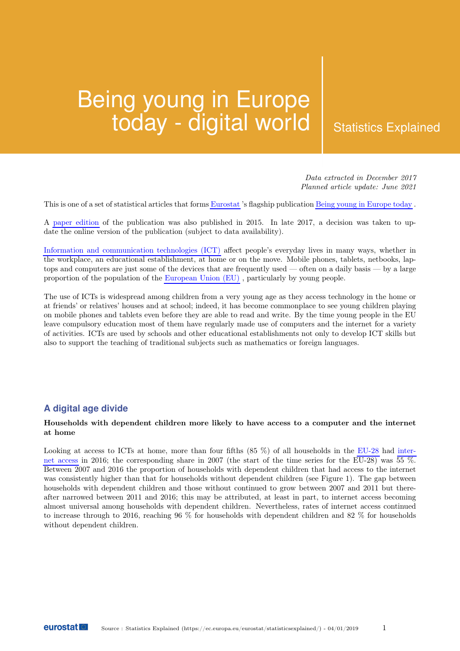# Being young in Europe  $\textsf{today}$  - digital world  $\;\mid\;$  Statistics Explained

Data extracted in December 2017 Planned article update: June 2021

This is one of a set of statistical articles that forms [Eurostat](https://ec.europa.eu/eurostat/statistics-explained/index.php/Glossary:Eurostat) 's flagship publication [Being young in Europe today](https://ec.europa.eu/eurostat/statistics-explained/index.php/Being_young_in_Europe_today) .

A [paper edition](http://ec.europa.eu/eurostat/product?code=KS-05-14-031&language=en) of the publication was also published in 2015. In late 2017, a decision was taken to update the online version of the publication (subject to data availability).

[Information and communication technologies \(ICT\)](https://ec.europa.eu/eurostat/statistics-explained/index.php/Glossary:Information_and_communication_technology_(ICT)) affect people's everyday lives in many ways, whether in the workplace, an educational establishment, at home or on the move. Mobile phones, tablets, netbooks, laptops and computers are just some of the devices that are frequently used — often on a daily basis — by a large proportion of the population of the [European Union \(EU\)](https://ec.europa.eu/eurostat/statistics-explained/index.php/Glossary:European_Union_(EU)) , particularly by young people.

The use of ICTs is widespread among children from a very young age as they access technology in the home or at friends' or relatives' houses and at school; indeed, it has become commonplace to see young children playing on mobile phones and tablets even before they are able to read and write. By the time young people in the EU leave compulsory education most of them have regularly made use of computers and the internet for a variety of activities. ICTs are used by schools and other educational establishments not only to develop ICT skills but also to support the teaching of traditional subjects such as mathematics or foreign languages.

## **A digital age divide**

### Households with dependent children more likely to have access to a computer and the internet at home

Looking at access to ICTs at home, more than four fifths  $(85\%)$  of all households in the [EU-28](https://ec.europa.eu/eurostat/statistics-explained/index.php/Glossary:EU-28) had [inter](https://ec.europa.eu/eurostat/statistics-explained/index.php/Glossary:Internet_access)[net access](https://ec.europa.eu/eurostat/statistics-explained/index.php/Glossary:Internet_access) in 2016; the corresponding share in 2007 (the start of the time series for the EU-28) was 55 %. Between 2007 and 2016 the proportion of households with dependent children that had access to the internet was consistently higher than that for households without dependent children (see Figure 1). The gap between households with dependent children and those without continued to grow between 2007 and 2011 but thereafter narrowed between 2011 and 2016; this may be attributed, at least in part, to internet access becoming almost universal among households with dependent children. Nevertheless, rates of internet access continued to increase through to 2016, reaching 96 % for households with dependent children and 82 % for households without dependent children.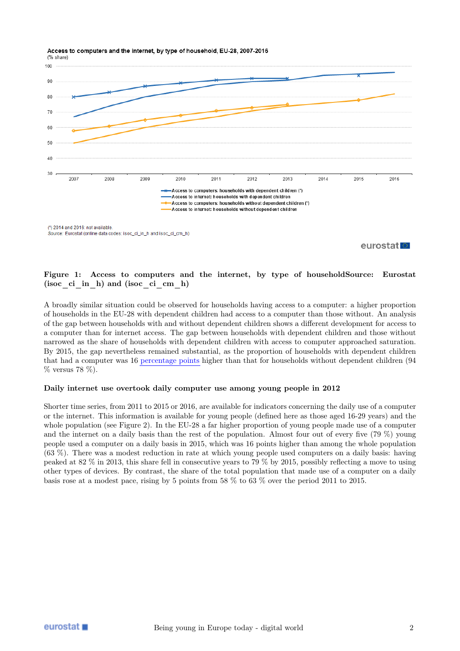Access to computers and the internet, by type of household, EU-28, 2007-2016



eurostat<sup>1</sup>

## Figure 1: Access to computers and the internet, by type of householdSource: Eurostat (isoc ci in h) and (isoc ci cm h)

A broadly similar situation could be observed for households having access to a computer: a higher proportion of households in the EU-28 with dependent children had access to a computer than those without. An analysis of the gap between households with and without dependent children shows a different development for access to a computer than for internet access. The gap between households with dependent children and those without narrowed as the share of households with dependent children with access to computer approached saturation. By 2015, the gap nevertheless remained substantial, as the proportion of households with dependent children that had a computer was 16 [percentage points](https://ec.europa.eu/eurostat/statistics-explained/index.php/Glossary:Percentage_point) higher than that for households without dependent children (94 % versus 78 %).

#### Daily internet use overtook daily computer use among young people in 2012

Shorter time series, from 2011 to 2015 or 2016, are available for indicators concerning the daily use of a computer or the internet. This information is available for young people (defined here as those aged 16-29 years) and the whole population (see Figure 2). In the EU-28 a far higher proportion of young people made use of a computer and the internet on a daily basis than the rest of the population. Almost four out of every five (79 %) young people used a computer on a daily basis in 2015, which was 16 points higher than among the whole population (63 %). There was a modest reduction in rate at which young people used computers on a daily basis: having peaked at 82 % in 2013, this share fell in consecutive years to 79 % by 2015, possibly reflecting a move to using other types of devices. By contrast, the share of the total population that made use of a computer on a daily basis rose at a modest pace, rising by 5 points from 58 % to 63 % over the period 2011 to 2015.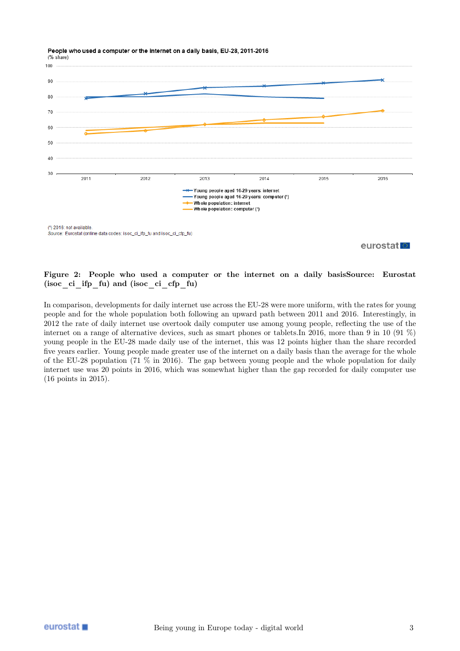People who used a computer or the internet on a daily basis, EU-28, 2011-2016



eurostat<sup>o</sup>

## Figure 2: People who used a computer or the internet on a daily basisSource: Eurostat (isoc\_ci\_ifp\_fu) and (isoc\_ci\_cfp\_fu)

In comparison, developments for daily internet use across the EU-28 were more uniform, with the rates for young people and for the whole population both following an upward path between 2011 and 2016. Interestingly, in 2012 the rate of daily internet use overtook daily computer use among young people, reflecting the use of the internet on a range of alternative devices, such as smart phones or tablets.In 2016, more than 9 in 10 (91 %) young people in the EU-28 made daily use of the internet, this was 12 points higher than the share recorded five years earlier. Young people made greater use of the internet on a daily basis than the average for the whole of the EU-28 population (71 % in 2016). The gap between young people and the whole population for daily internet use was 20 points in 2016, which was somewhat higher than the gap recorded for daily computer use (16 points in 2015).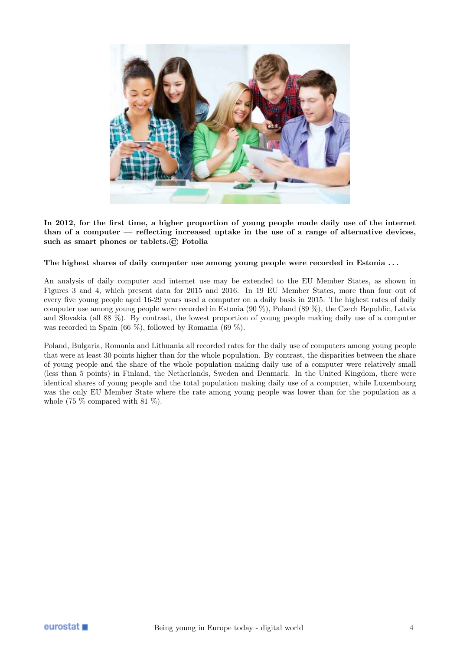

In 2012, for the first time, a higher proportion of young people made daily use of the internet than of a computer — reflecting increased uptake in the use of a range of alternative devices, such as smart phones or tablets.© Fotolia

## The highest shares of daily computer use among young people were recorded in Estonia ...

An analysis of daily computer and internet use may be extended to the EU Member States, as shown in Figures 3 and 4, which present data for 2015 and 2016. In 19 EU Member States, more than four out of every five young people aged 16-29 years used a computer on a daily basis in 2015. The highest rates of daily computer use among young people were recorded in Estonia (90 %), Poland (89 %), the Czech Republic, Latvia and Slovakia (all 88 %). By contrast, the lowest proportion of young people making daily use of a computer was recorded in Spain (66 %), followed by Romania (69 %).

Poland, Bulgaria, Romania and Lithuania all recorded rates for the daily use of computers among young people that were at least 30 points higher than for the whole population. By contrast, the disparities between the share of young people and the share of the whole population making daily use of a computer were relatively small (less than 5 points) in Finland, the Netherlands, Sweden and Denmark. In the United Kingdom, there were identical shares of young people and the total population making daily use of a computer, while Luxembourg was the only EU Member State where the rate among young people was lower than for the population as a whole  $(75\%$  compared with  $81\%$ ).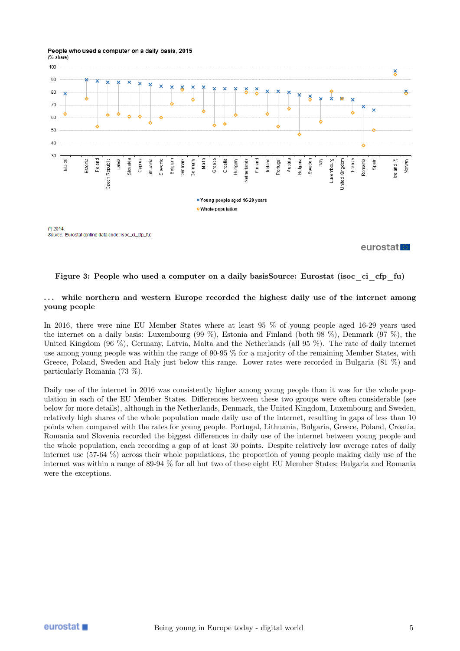#### People who used a computer on a daily basis, 2015 (% share)



eurostat<sup>e</sup>

#### Figure 3: People who used a computer on a daily basisSource: Eurostat (isoc\_ci\_cfp\_fu)

## ... while northern and western Europe recorded the highest daily use of the internet among young people

In 2016, there were nine EU Member States where at least 95 % of young people aged 16-29 years used the internet on a daily basis: Luxembourg (99 %), Estonia and Finland (both 98 %), Denmark (97 %), the United Kingdom (96 %), Germany, Latvia, Malta and the Netherlands (all 95 %). The rate of daily internet use among young people was within the range of 90-95 % for a majority of the remaining Member States, with Greece, Poland, Sweden and Italy just below this range. Lower rates were recorded in Bulgaria (81 %) and particularly Romania (73 %).

Daily use of the internet in 2016 was consistently higher among young people than it was for the whole population in each of the EU Member States. Differences between these two groups were often considerable (see below for more details), although in the Netherlands, Denmark, the United Kingdom, Luxembourg and Sweden, relatively high shares of the whole population made daily use of the internet, resulting in gaps of less than 10 points when compared with the rates for young people. Portugal, Lithuania, Bulgaria, Greece, Poland, Croatia, Romania and Slovenia recorded the biggest differences in daily use of the internet between young people and the whole population, each recording a gap of at least 30 points. Despite relatively low average rates of daily internet use (57-64 %) across their whole populations, the proportion of young people making daily use of the internet was within a range of 89-94 % for all but two of these eight EU Member States; Bulgaria and Romania were the exceptions.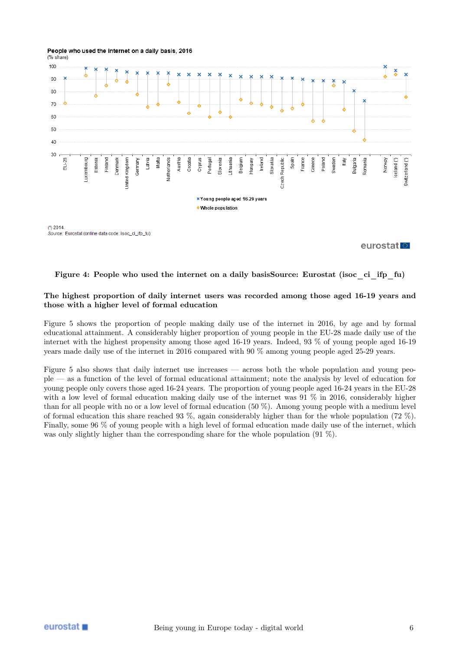

eurostat<sup>o</sup>

## Figure 4: People who used the internet on a daily basisSource: Eurostat (isoc\_ci\_ifp\_fu)

### The highest proportion of daily internet users was recorded among those aged 16-19 years and those with a higher level of formal education

Figure 5 shows the proportion of people making daily use of the internet in 2016, by age and by formal educational attainment. A considerably higher proportion of young people in the EU-28 made daily use of the internet with the highest propensity among those aged 16-19 years. Indeed, 93 % of young people aged 16-19 years made daily use of the internet in 2016 compared with 90 % among young people aged 25-29 years.

Figure 5 also shows that daily internet use increases — across both the whole population and young people — as a function of the level of formal educational attainment; note the analysis by level of education for young people only covers those aged 16-24 years. The proportion of young people aged 16-24 years in the EU-28 with a low level of formal education making daily use of the internet was 91 % in 2016, considerably higher than for all people with no or a low level of formal education (50 %). Among young people with a medium level of formal education this share reached 93 %, again considerably higher than for the whole population (72 %). Finally, some 96 % of young people with a high level of formal education made daily use of the internet, which was only slightly higher than the corresponding share for the whole population (91 %).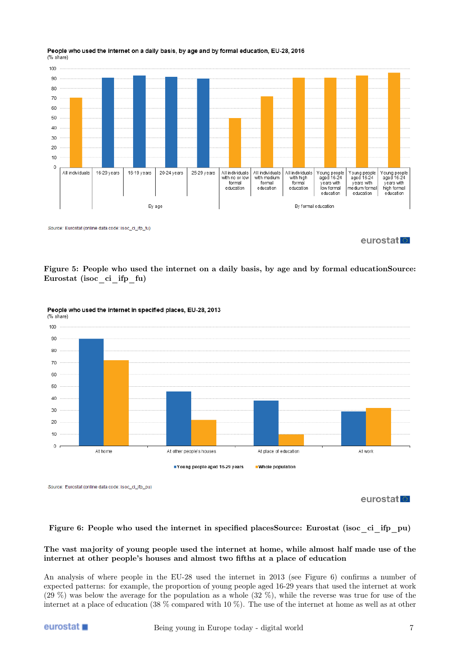

#### People who used the internet on a daily basis, by age and by formal education, EU-28, 2016 (% share)

Source: Eurostat (online data code: isoc\_ci\_ifp\_fu)

eurostat<sup>o</sup>

Figure 5: People who used the internet on a daily basis, by age and by formal educationSource: Eurostat (isoc\_ci\_ifp\_fu)



## People who used the internet in specified places, EU-28, 2013

Source: Eurostat (online data code: isoc\_ci\_ifp\_pu)

eurostat<sup>o</sup>

## Figure 6: People who used the internet in specified placesSource: Eurostat (isoc\_ci\_ifp\_pu)

## The vast majority of young people used the internet at home, while almost half made use of the internet at other people's houses and almost two fifths at a place of education

An analysis of where people in the EU-28 used the internet in 2013 (see Figure 6) confirms a number of expected patterns: for example, the proportion of young people aged 16-29 years that used the internet at work (29 %) was below the average for the population as a whole (32 %), while the reverse was true for use of the internet at a place of education (38 % compared with 10 %). The use of the internet at home as well as at other

## eurostat ■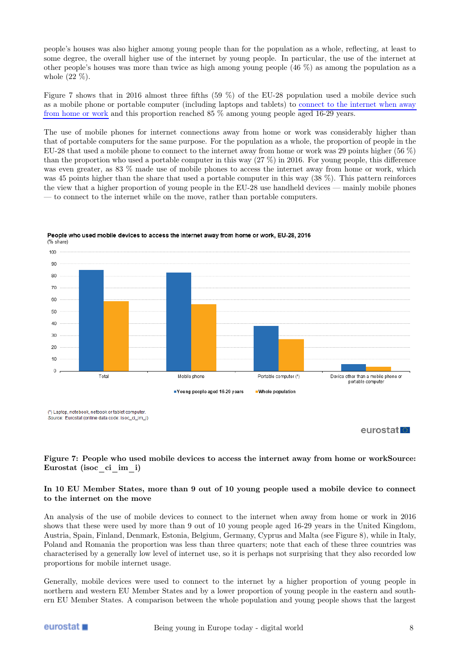people's houses was also higher among young people than for the population as a whole, reflecting, at least to some degree, the overall higher use of the internet by young people. In particular, the use of the internet at other people's houses was more than twice as high among young people (46 %) as among the population as a whole (22 %).

Figure 7 shows that in 2016 almost three fifths (59 %) of the EU-28 population used a mobile device such as a mobile phone or portable computer (including laptops and tablets) to [connect to the internet when away](https://ec.europa.eu/eurostat/statistics-explained/index.php/Glossary:Mobile_internet_usage) [from home or work](https://ec.europa.eu/eurostat/statistics-explained/index.php/Glossary:Mobile_internet_usage) and this proportion reached 85 % among young people aged 16-29 years.

The use of mobile phones for internet connections away from home or work was considerably higher than that of portable computers for the same purpose. For the population as a whole, the proportion of people in the EU-28 that used a mobile phone to connect to the internet away from home or work was 29 points higher (56 %) than the proportion who used a portable computer in this way (27 %) in 2016. For young people, this difference was even greater, as 83 % made use of mobile phones to access the internet away from home or work, which was 45 points higher than the share that used a portable computer in this way (38 %). This pattern reinforces the view that a higher proportion of young people in the EU-28 use handheld devices — mainly mobile phones — to connect to the internet while on the move, rather than portable computers.



People who used mobile devices to access the internet away from home or work, EU-28, 2016

(1) Laptop, notebook, netbook or tablet computer Source: Eurostat (online data code: isoc\_ci\_im\_i)

eurostat<sup>®</sup>

## Figure 7: People who used mobile devices to access the internet away from home or workSource: Eurostat (isoc\_ci\_im\_i)

## In 10 EU Member States, more than 9 out of 10 young people used a mobile device to connect to the internet on the move

An analysis of the use of mobile devices to connect to the internet when away from home or work in 2016 shows that these were used by more than 9 out of 10 young people aged 16-29 years in the United Kingdom, Austria, Spain, Finland, Denmark, Estonia, Belgium, Germany, Cyprus and Malta (see Figure 8), while in Italy, Poland and Romania the proportion was less than three quarters; note that each of these three countries was characterised by a generally low level of internet use, so it is perhaps not surprising that they also recorded low proportions for mobile internet usage.

Generally, mobile devices were used to connect to the internet by a higher proportion of young people in northern and western EU Member States and by a lower proportion of young people in the eastern and southern EU Member States. A comparison between the whole population and young people shows that the largest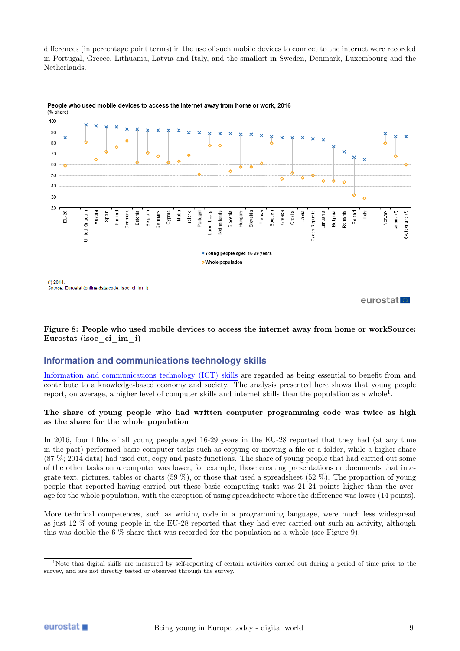differences (in percentage point terms) in the use of such mobile devices to connect to the internet were recorded in Portugal, Greece, Lithuania, Latvia and Italy, and the smallest in Sweden, Denmark, Luxembourg and the Netherlands.





Source: Eurostat (online data code: isoc\_ci\_im\_i)

eurostat

Figure 8: People who used mobile devices to access the internet away from home or workSource: Eurostat (isoc\_ci\_im\_i)

## **Information and communications technology skills**

[Information and communications technology \(ICT\) skills](https://ec.europa.eu/eurostat/statistics-explained/index.php/Glossary:E-skills) are regarded as being essential to benefit from and contribute to a knowledge-based economy and society. The analysis presented here shows that young people report, on average, a higher level of computer skills and internet skills than the population as a whole<sup>[1](#page-8-0)</sup>.

## The share of young people who had written computer programming code was twice as high as the share for the whole population

In 2016, four fifths of all young people aged 16-29 years in the EU-28 reported that they had (at any time in the past) performed basic computer tasks such as copying or moving a file or a folder, while a higher share (87 %; 2014 data) had used cut, copy and paste functions. The share of young people that had carried out some of the other tasks on a computer was lower, for example, those creating presentations or documents that integrate text, pictures, tables or charts (59 %), or those that used a spreadsheet (52 %). The proportion of young people that reported having carried out these basic computing tasks was 21-24 points higher than the average for the whole population, with the exception of using spreadsheets where the difference was lower (14 points).

More technical competences, such as writing code in a programming language, were much less widespread as just 12 % of young people in the EU-28 reported that they had ever carried out such an activity, although this was double the 6 % share that was recorded for the population as a whole (see Figure 9).

<span id="page-8-0"></span><sup>&</sup>lt;sup>1</sup>Note that digital skills are measured by self-reporting of certain activities carried out during a period of time prior to the survey, and are not directly tested or observed through the survey.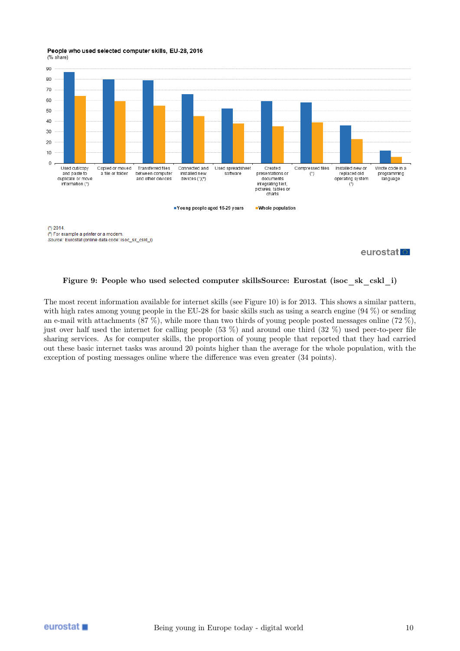People who used selected computer skills, EU-28, 2016 (% share)



Source: Eurostat (online data code: isoc\_sk\_cskl\_i)

eurostat

## Figure 9: People who used selected computer skillsSource: Eurostat (isoc\_sk\_cskl\_i)

The most recent information available for internet skills (see Figure 10) is for 2013. This shows a similar pattern, with high rates among young people in the EU-28 for basic skills such as using a search engine (94 %) or sending an e-mail with attachments (87 %), while more than two thirds of young people posted messages online (72 %), just over half used the internet for calling people (53 %) and around one third (32 %) used peer-to-peer file sharing services. As for computer skills, the proportion of young people that reported that they had carried out these basic internet tasks was around 20 points higher than the average for the whole population, with the exception of posting messages online where the difference was even greater (34 points).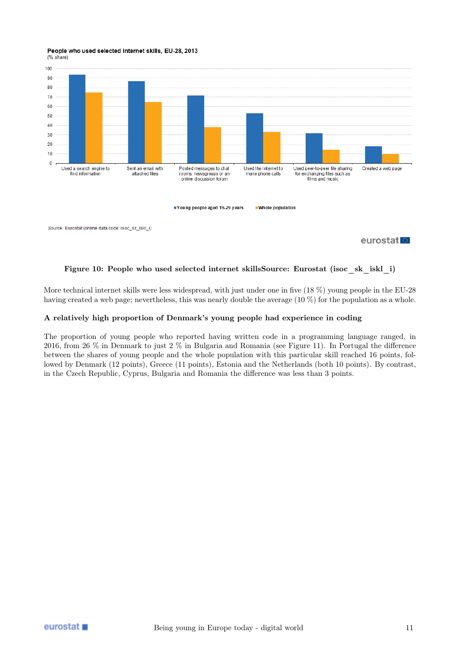#### People who used selected internet skills, EU-28, 2013 (% share)



eurostat

## Figure 10: People who used selected internet skillsSource: Eurostat (isoc\_sk\_iskl\_i)

More technical internet skills were less widespread, with just under one in five (18 %) young people in the EU-28 having created a web page; nevertheless, this was nearly double the average (10 %) for the population as a whole.

## A relatively high proportion of Denmark's young people had experience in coding

The proportion of young people who reported having written code in a programming language ranged, in 2016, from 26 % in Denmark to just 2 % in Bulgaria and Romania (see Figure 11). In Portugal the difference between the shares of young people and the whole population with this particular skill reached 16 points, followed by Denmark (12 points), Greece (11 points), Estonia and the Netherlands (both 10 points). By contrast, in the Czech Republic, Cyprus, Bulgaria and Romania the difference was less than 3 points.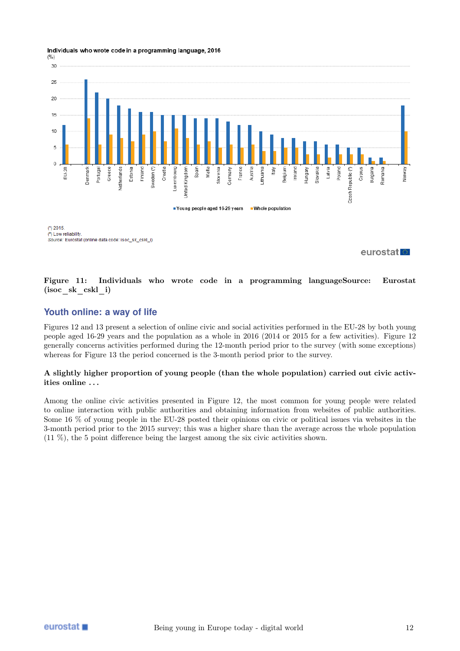Individuals who wrote code in a programming language, 2016



 $(') 2015$ (2) Low reliability Source: Eurostat (online data code: isoc\_sk\_cskl\_i)

eurostat

## Figure 11: Individuals who wrote code in a programming languageSource: Eurostat (isoc\_sk\_cskl\_i)

## **Youth online: a way of life**

Figures 12 and 13 present a selection of online civic and social activities performed in the EU-28 by both young people aged 16-29 years and the population as a whole in 2016 (2014 or 2015 for a few activities). Figure 12 generally concerns activities performed during the 12-month period prior to the survey (with some exceptions) whereas for Figure 13 the period concerned is the 3-month period prior to the survey.

## A slightly higher proportion of young people (than the whole population) carried out civic activities online . . .

Among the online civic activities presented in Figure 12, the most common for young people were related to online interaction with public authorities and obtaining information from websites of public authorities. Some 16 % of young people in the EU-28 posted their opinions on civic or political issues via websites in the 3-month period prior to the 2015 survey; this was a higher share than the average across the whole population (11 %), the 5 point difference being the largest among the six civic activities shown.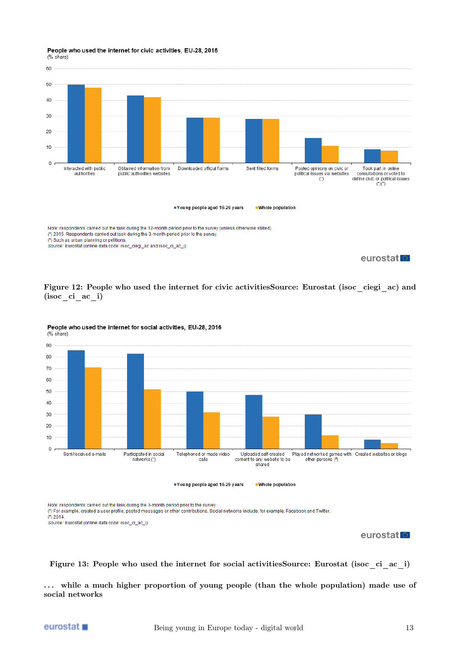#### People who used the internet for civic activities, EU-28, 2016 (% share)



eurostatle





People who used the internet for social activities, EU-28, 2016

Note: respondents carried out the task during the 3-month period prior to the survey.

(1) For example, created a user profile, posted messages or other contributions. Social networks include, for example, Facebook and Twitter.

 $(2)$  2014

Source: Eurostat (online data code: isoc\_ci\_ac\_i)

## eurostat<sup>o</sup>

Figure 13: People who used the internet for social activitiesSource: Eurostat (isoc\_ci\_ac\_i)

... while a much higher proportion of young people (than the whole population) made use of social networks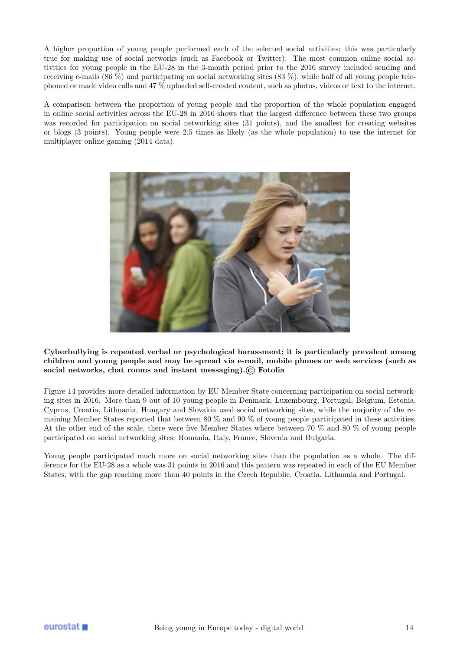A higher proportion of young people performed each of the selected social activities; this was particularly true for making use of social networks (such as Facebook or Twitter). The most common online social activities for young people in the EU-28 in the 3-month period prior to the 2016 survey included sending and receiving e-mails (86 %) and participating on social networking sites (83 %), while half of all young people telephoned or made video calls and 47 % uploaded self-created content, such as photos, videos or text to the internet.

A comparison between the proportion of young people and the proportion of the whole population engaged in online social activities across the EU-28 in 2016 shows that the largest difference between these two groups was recorded for participation on social networking sites (31 points), and the smallest for creating websites or blogs (3 points). Young people were 2.5 times as likely (as the whole population) to use the internet for multiplayer online gaming (2014 data).



Cyberbullying is repeated verbal or psychological harassment; it is particularly prevalent among children and young people and may be spread via e-mail, mobile phones or web services (such as social networks, chat rooms and instant messaging).© Fotolia

Figure 14 provides more detailed information by EU Member State concerning participation on social networking sites in 2016. More than 9 out of 10 young people in Denmark, Luxembourg, Portugal, Belgium, Estonia, Cyprus, Croatia, Lithuania, Hungary and Slovakia used social networking sites, while the majority of the remaining Member States reported that between 80 % and 90 % of young people participated in these activities. At the other end of the scale, there were five Member States where between 70 % and 80 % of young people participated on social networking sites: Romania, Italy, France, Slovenia and Bulgaria.

Young people participated much more on social networking sites than the population as a whole. The difference for the EU-28 as a whole was 31 points in 2016 and this pattern was repeated in each of the EU Member States, with the gap reaching more than 40 points in the Czech Republic, Croatia, Lithuania and Portugal.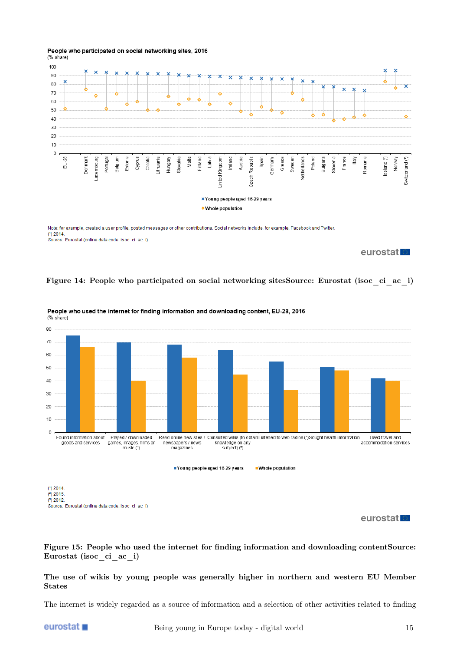

#### People who participated on social networking sites, 2016 (% share)

Note: for example, created a user profile, posted messages or other contributions. Social networks include, for example, Facebook and Twitter  $(') 2014$ Source: Eurostat (online data code: isoc\_ci\_ac\_i)

## eurostat

## Figure 14: People who participated on social networking sitesSource: Eurostat (isoc\_ci\_ac\_i)



People who used the internet for finding information and downloading content, EU-28, 2016 (% share)

 $(3)$  2012 Source: Eurostat (online data code: isoc\_ci\_ac\_i)

## eurostat<sup>o</sup>

Figure 15: People who used the internet for finding information and downloading contentSource: Eurostat (isoc\_ci\_ac\_i)

## The use of wikis by young people was generally higher in northern and western EU Member States

The internet is widely regarded as a source of information and a selection of other activities related to finding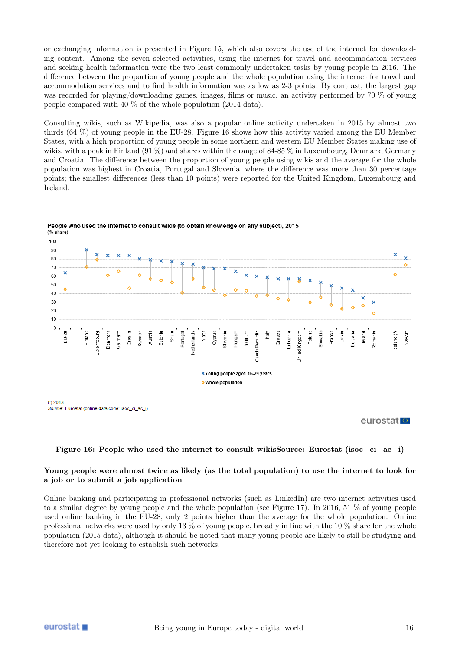or exchanging information is presented in Figure 15, which also covers the use of the internet for downloading content. Among the seven selected activities, using the internet for travel and accommodation services and seeking health information were the two least commonly undertaken tasks by young people in 2016. The difference between the proportion of young people and the whole population using the internet for travel and accommodation services and to find health information was as low as 2-3 points. By contrast, the largest gap was recorded for playing/downloading games, images, films or music, an activity performed by 70 % of young people compared with 40 % of the whole population (2014 data).

Consulting wikis, such as Wikipedia, was also a popular online activity undertaken in 2015 by almost two thirds (64 %) of young people in the EU-28. Figure 16 shows how this activity varied among the EU Member States, with a high proportion of young people in some northern and western EU Member States making use of wikis, with a peak in Finland (91 %) and shares within the range of 84-85 % in Luxembourg, Denmark, Germany and Croatia. The difference between the proportion of young people using wikis and the average for the whole population was highest in Croatia, Portugal and Slovenia, where the difference was more than 30 percentage points; the smallest differences (less than 10 points) were reported for the United Kingdom, Luxembourg and Ireland.



People who used the internet to consult wikis (to obtain knowledge on any subject), 2015 (% share)

Source: Eurostat (online data code: isoc\_ci\_ac\_i)

## eurostat

#### Figure 16: People who used the internet to consult wikisSource: Eurostat (isoc\_ci\_ac\_i)

#### Young people were almost twice as likely (as the total population) to use the internet to look for a job or to submit a job application

Online banking and participating in professional networks (such as LinkedIn) are two internet activities used to a similar degree by young people and the whole population (see Figure 17). In 2016, 51 % of young people used online banking in the EU-28, only 2 points higher than the average for the whole population. Online professional networks were used by only 13 % of young people, broadly in line with the 10 % share for the whole population (2015 data), although it should be noted that many young people are likely to still be studying and therefore not yet looking to establish such networks.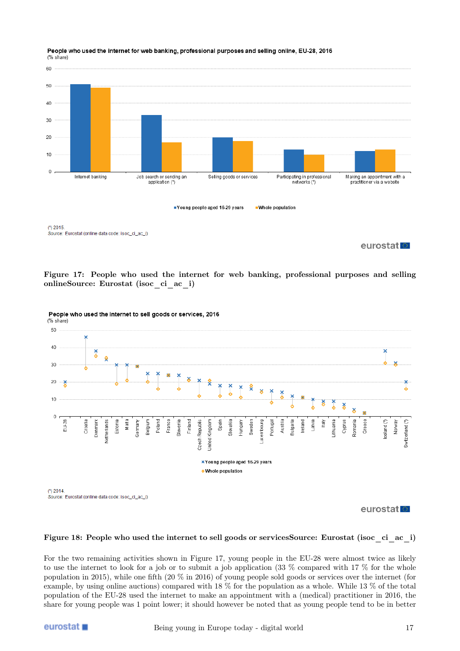

#### People who used the internet for web banking, professional purposes and selling online, EU-28, 2016 (% share)

eurostat<sup>1</sup>

Figure 17: People who used the internet for web banking, professional purposes and selling onlineSource: Eurostat (isoc\_ci\_ac\_i)



People who used the internet to sell goods or services, 2016

eurostat<sup>o</sup>

#### Figure 18: People who used the internet to sell goods or servicesSource: Eurostat (isoc\_ci\_ac\_i)

For the two remaining activities shown in Figure 17, young people in the EU-28 were almost twice as likely to use the internet to look for a job or to submit a job application (33 % compared with 17 % for the whole population in 2015), while one fifth (20 % in 2016) of young people sold goods or services over the internet (for example, by using online auctions) compared with 18 % for the population as a whole. While 13 % of the total population of the EU-28 used the internet to make an appointment with a (medical) practitioner in 2016, the share for young people was 1 point lower; it should however be noted that as young people tend to be in better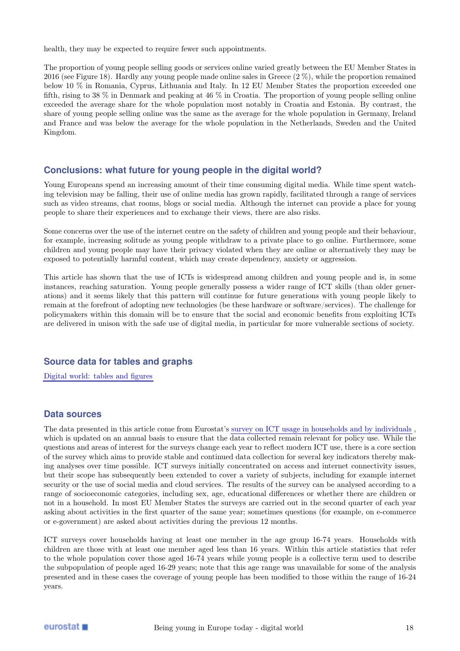health, they may be expected to require fewer such appointments.

The proportion of young people selling goods or services online varied greatly between the EU Member States in 2016 (see Figure 18). Hardly any young people made online sales in Greece (2 %), while the proportion remained below 10 % in Romania, Cyprus, Lithuania and Italy. In 12 EU Member States the proportion exceeded one fifth, rising to 38 % in Denmark and peaking at 46 % in Croatia. The proportion of young people selling online exceeded the average share for the whole population most notably in Croatia and Estonia. By contrast, the share of young people selling online was the same as the average for the whole population in Germany, Ireland and France and was below the average for the whole population in the Netherlands, Sweden and the United Kingdom.

## **Conclusions: what future for young people in the digital world?**

Young Europeans spend an increasing amount of their time consuming digital media. While time spent watching television may be falling, their use of online media has grown rapidly, facilitated through a range of services such as video streams, chat rooms, blogs or social media. Although the internet can provide a place for young people to share their experiences and to exchange their views, there are also risks.

Some concerns over the use of the internet centre on the safety of children and young people and their behaviour, for example, increasing solitude as young people withdraw to a private place to go online. Furthermore, some children and young people may have their privacy violated when they are online or alternatively they may be exposed to potentially harmful content, which may create dependency, anxiety or aggression.

This article has shown that the use of ICTs is widespread among children and young people and is, in some instances, reaching saturation. Young people generally possess a wider range of ICT skills (than older generations) and it seems likely that this pattern will continue for future generations with young people likely to remain at the forefront of adopting new technologies (be these hardware or software/services). The challenge for policymakers within this domain will be to ensure that the social and economic benefits from exploiting ICTs are delivered in unison with the safe use of digital media, in particular for more vulnerable sections of society.

## **Source data for tables and graphs**

[Digital world: tables and figures](https://ec.europa.eu/eurostat/statistics-explained/images/5/5a/CH7_BYIE18.xlsx)

## **Data sources**

The data presented in this article come from Eurostat's [survey on ICT usage in households and by individuals](https://ec.europa.eu/eurostat/statistics-explained/index.php/Glossary:Community_survey_on_ICT_usage_in_households_and_by_individuals) , which is updated on an annual basis to ensure that the data collected remain relevant for policy use. While the questions and areas of interest for the surveys change each year to reflect modern ICT use, there is a core section of the survey which aims to provide stable and continued data collection for several key indicators thereby making analyses over time possible. ICT surveys initially concentrated on access and internet connectivity issues, but their scope has subsequently been extended to cover a variety of subjects, including for example internet security or the use of social media and cloud services. The results of the survey can be analysed according to a range of socioeconomic categories, including sex, age, educational differences or whether there are children or not in a household. In most EU Member States the surveys are carried out in the second quarter of each year asking about activities in the first quarter of the same year; sometimes questions (for example, on e-commerce or e-government) are asked about activities during the previous 12 months.

ICT surveys cover households having at least one member in the age group 16-74 years. Households with children are those with at least one member aged less than 16 years. Within this article statistics that refer to the whole population cover those aged 16-74 years while young people is a collective term used to describe the subpopulation of people aged 16-29 years; note that this age range was unavailable for some of the analysis presented and in these cases the coverage of young people has been modified to those within the range of 16-24 years.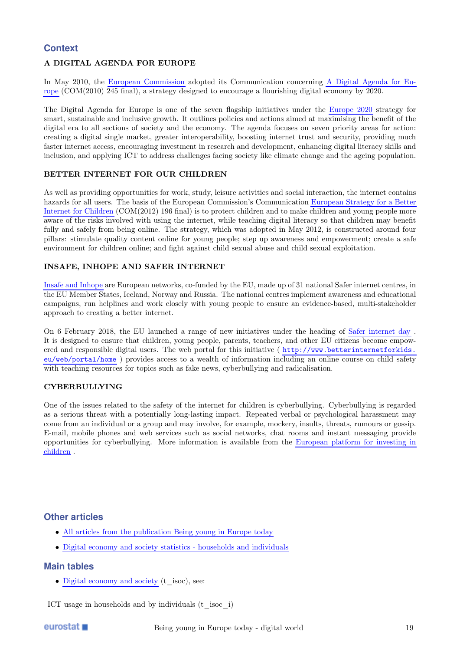## **Context**

## A DIGITAL AGENDA FOR EUROPE

In May 2010, the [European Commission](https://ec.europa.eu/eurostat/statistics-explained/index.php/Glossary:European_Commission_(EC)) adopted its Communication concerning [A Digital Agenda for Eu](http://eur-lex.europa.eu/LexUriServ/LexUriServ.do?uri=CELEX:52010DC0245:EN:NOT)[rope](http://eur-lex.europa.eu/LexUriServ/LexUriServ.do?uri=CELEX:52010DC0245:EN:NOT) (COM(2010) 245 final), a strategy designed to encourage a flourishing digital economy by 2020.

The Digital Agenda for Europe is one of the seven flagship initiatives under the [Europe 2020](https://ec.europa.eu/eurostat/statistics-explained/index.php/Glossary:EU_2020) strategy for smart, sustainable and inclusive growth. It outlines policies and actions aimed at maximising the benefit of the digital era to all sections of society and the economy. The agenda focuses on seven priority areas for action: creating a digital single market, greater interoperability, boosting internet trust and security, providing much faster internet access, encouraging investment in research and development, enhancing digital literacy skills and inclusion, and applying ICT to address challenges facing society like climate change and the ageing population.

## BETTER INTERNET FOR OUR CHILDREN

As well as providing opportunities for work, study, leisure activities and social interaction, the internet contains hazards for all users. The basis of the European Commission's Communication [European Strategy for a Better](http://eur-lex.europa.eu/LexUriServ/LexUriServ.do?uri=CELEX:52012AE1518:EN:NOT) [Internet for Children](http://eur-lex.europa.eu/LexUriServ/LexUriServ.do?uri=CELEX:52012AE1518:EN:NOT) (COM(2012) 196 final) is to protect children and to make children and young people more aware of the risks involved with using the internet, while teaching digital literacy so that children may benefit fully and safely from being online. The strategy, which was adopted in May 2012, is constructed around four pillars: stimulate quality content online for young people; step up awareness and empowerment; create a safe environment for children online; and fight against child sexual abuse and child sexual exploitation.

## INSAFE, INHOPE AND SAFER INTERNET

[Insafe and Inhope](http://www.betterinternetforkids.eu/web/portal/policy/insafe-inhope) are European networks, co-funded by the EU, made up of 31 national Safer internet centres, in the EU Member States, Iceland, Norway and Russia. The national centres implement awareness and educational campaigns, run helplines and work closely with young people to ensure an evidence-based, multi-stakeholder approach to creating a better internet.

On 6 February 2018, the EU launched a range of new initiatives under the heading of [Safer internet day](http://ec.europa.eu/digital-single-market/en/news/launch-saferinternet4eu-initiatives-safer-internet-day) . It is designed to ensure that children, young people, parents, teachers, and other EU citizens become empowered and responsible digital users. The web portal for this initiative ( [http://www.betterinternetforkids.](http://www.betterinternetforkids.eu/web/portal/home) [eu/web/portal/home](http://www.betterinternetforkids.eu/web/portal/home) ) provides access to a wealth of information including an online course on child safety with teaching resources for topics such as fake news, cyberbullying and radicalisation.

## CYBERBULLYING

One of the issues related to the safety of the internet for children is cyberbullying. Cyberbullying is regarded as a serious threat with a potentially long-lasting impact. Repeated verbal or psychological harassment may come from an individual or a group and may involve, for example, mockery, insults, threats, rumours or gossip. E-mail, mobile phones and web services such as social networks, chat rooms and instant messaging provide opportunities for cyberbullying. More information is available from the [European platform for investing in](http://europa.eu/epic/) [children](http://europa.eu/epic/) .

## **Other articles**

- [All articles from the publication Being young in Europe today](https://ec.europa.eu/eurostat/statistics-explained/index.php/Being_young_in_Europe_today)
- [Digital economy and society statistics households and individuals](https://ec.europa.eu/eurostat/statistics-explained/index.php/Digital_economy_and_society_statistics_-_households_and_individuals)

## **Main tables**

• [Digital economy and society](https://ec.europa.euhttps://ec.europa.eu/eurostat/web/digital-economy-and-society/data/main-tables) (t\_isoc), see:

ICT usage in households and by individuals (t\_isoc\_i)